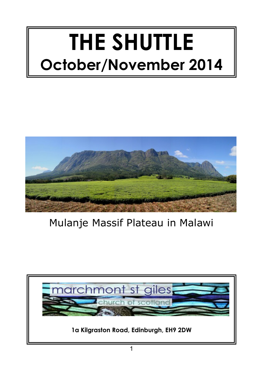# **THE SHUTTLE October/November 2014**



# Mulanje Massif Plateau in Malawi

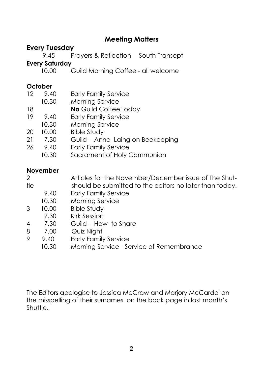## **Meeting Matters**

# **Every Tuesday**<br>9.45 Pr

Prayers & Reflection South Transept

# **Every Saturday**

10.00 Guild Morning Coffee - all welcome

#### **October**

| <b>Early Family Service</b><br>12<br>9.40 |       |                                  |  |  |  |
|-------------------------------------------|-------|----------------------------------|--|--|--|
|                                           | 10.30 | Morning Service                  |  |  |  |
| 18                                        |       | No Guild Coffee today            |  |  |  |
| 19                                        | 9.40  | <b>Early Family Service</b>      |  |  |  |
|                                           | 10.30 | Morning Service                  |  |  |  |
| 20                                        | 10.00 | <b>Bible Study</b>               |  |  |  |
| 21                                        | 7.30  | Guild - Anne Laing on Beekeeping |  |  |  |
| 26                                        | 9.40  | <b>Early Family Service</b>      |  |  |  |
|                                           | 10.30 | Sacrament of Holy Communion      |  |  |  |
|                                           |       |                                  |  |  |  |

#### **November**

| $\mathcal{P}$  |       | Articles for the November/December issue of The Shut-   |  |  |  |
|----------------|-------|---------------------------------------------------------|--|--|--|
| tle            |       | should be submitted to the editors no later than today. |  |  |  |
|                | 9.40  | <b>Early Family Service</b>                             |  |  |  |
|                | 10.30 | Morning Service                                         |  |  |  |
| 3              | 10.00 | <b>Bible Study</b>                                      |  |  |  |
|                | 7.30  | <b>Kirk Session</b>                                     |  |  |  |
| $\overline{4}$ | 7.30  | Guild - How to Share                                    |  |  |  |
| 8              | 7.00  | Quiz Night                                              |  |  |  |
| 9              | 9.40  | <b>Early Family Service</b>                             |  |  |  |
|                | 10.30 | Morning Service - Service of Remembrance                |  |  |  |
|                |       |                                                         |  |  |  |

The Editors apologise to Jessica McCraw and Marjory McCardel on the misspelling of their surnames on the back page in last month's Shuttle.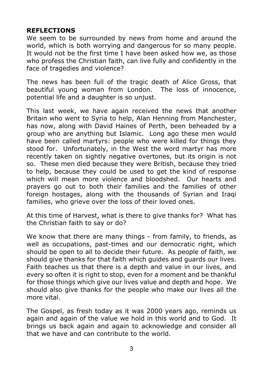#### **REFLECTIONS**

We seem to be surrounded by news from home and around the world, which is both worrying and dangerous for so many people. It would not be the first time I have been asked how we, as those who profess the Christian faith, can live fully and confidently in the face of tragedies and violence?

The news has been full of the tragic death of Alice Gross, that beautiful young woman from London. The loss of innocence, potential life and a daughter is so unjust.

This last week, we have again received the news that another Britain who went to Syria to help, Alan Henning from Manchester, has now, along with David Haines of Perth, been beheaded by a group who are anything but Islamic. Long ago these men would have been called martyrs: people who were killed for things they stood for. Unfortunately, in the West the word martyr has more recently taken on sightly negative overtones, but its origin is not so. These men died because they were British, because they tried to help, because they could be used to get the kind of response which will mean more violence and bloodshed. Our hearts and prayers go out to both their families and the families of other foreign hostages, along with the thousands of Syrian and Iragi families, who grieve over the loss of their loved ones.

At this time of Harvest, what is there to give thanks for? What has the Christian faith to say or do?

We know that there are many things - from family, to friends, as well as occupations, past-times and our democratic right, which should be open to all to decide their future. As people of faith, we should give thanks for that faith which guides and guards our lives. Faith teaches us that there is a depth and value in our lives, and every so often it is right to stop, even for a moment and be thankful for those things which give our lives value and depth and hope. We should also give thanks for the people who make our lives all the more vital.

The Gospel, as fresh today as it was 2000 years ago, reminds us again and again of the value we hold in this world and to God. It brings us back again and again to acknowledge and consider all that we have and can contribute to the world.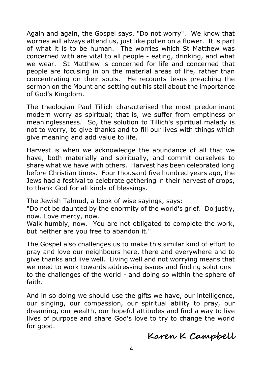Again and again, the Gospel says, "Do not worry". We know that worries will always attend us, just like pollen on a flower. It is part of what it is to be human. The worries which St Matthew was concerned with are vital to all people - eating, drinking, and what we wear. St Matthew is concerned for life and concerned that people are focusing in on the material areas of life, rather than concentrating on their souls. He recounts Jesus preaching the sermon on the Mount and setting out his stall about the importance of God's Kingdom.

The theologian Paul Tillich characterised the most predominant modern worry as spiritual; that is, we suffer from emptiness or meaninglessness. So, the solution to Tillich's spiritual malady is not to worry, to give thanks and to fill our lives with things which give meaning and add value to life.

Harvest is when we acknowledge the abundance of all that we have, both materially and spiritually, and commit ourselves to share what we have with others. Harvest has been celebrated long before Christian times. Four thousand five hundred years ago, the Jews had a festival to celebrate gathering in their harvest of crops, to thank God for all kinds of blessings.

The Jewish Talmud, a book of wise sayings, says:

"Do not be daunted by the enormity of the world's grief. Do justly, now. Love mercy, now.

Walk humbly, now. You are not obligated to complete the work, but neither are you free to abandon it."

The Gospel also challenges us to make this similar kind of effort to pray and love our neighbours here, there and everywhere and to give thanks and live well. Living well and not worrying means that we need to work towards addressing issues and finding solutions to the challenges of the world - and doing so within the sphere of faith.

And in so doing we should use the gifts we have, our intelligence, our singing, our compassion, our spiritual ability to pray, our dreaming, our wealth, our hopeful attitudes and find a way to live lives of purpose and share God's love to try to change the world for good.

# **Karen K Campbell**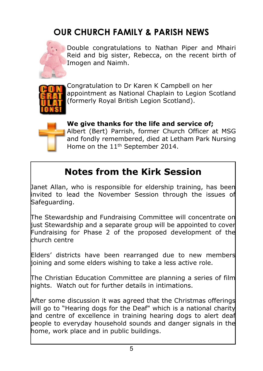# **OUR CHURCH FAMILY & PARISH NEWS**



Double congratulations to Nathan Piper and Mhairi Reid and big sister, Rebecca, on the recent birth of Imogen and Naimh.



Congratulation to Dr Karen K Campbell on her appointment as National Chaplain to Legion Scotland (formerly Royal British Legion Scotland).



**We give thanks for the life and service of;** Albert (Bert) Parrish, former Church Officer at MSG and fondly remembered, died at Letham Park Nursing Home on the 11<sup>th</sup> September 2014.

# **Notes from the Kirk Session**

Janet Allan, who is responsible for eldership training, has been invited to lead the November Session through the issues of Safeguarding.

The Stewardship and Fundraising Committee will concentrate on liust Stewardship and a separate group will be appointed to cover Fundraising for Phase 2 of the proposed development of the church centre

Elders' districts have been rearranged due to new members joining and some elders wishing to take a less active role.

The Christian Education Committee are planning a series of film nights. Watch out for further details in intimations.

After some discussion it was agreed that the Christmas offerings will go to "Hearing dogs for the Deaf" which is a national charity and centre of excellence in training hearing dogs to alert deaf people to everyday household sounds and danger signals in the home, work place and in public buildings.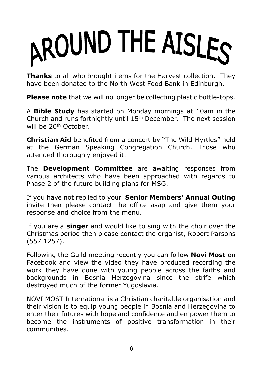# AROUND THE AISLES

**Thanks** to all who brought items for the Harvest collection. They have been donated to the North West Food Bank in Edinburgh.

**Please note** that we will no longer be collecting plastic bottle-tops.

A **Bible Study** has started on Monday mornings at 10am in the Church and runs fortnightly until 15th December. The next session will be 20<sup>th</sup> October

**Christian Aid** benefited from a concert by "The Wild Myrtles" held at the German Speaking Congregation Church. Those who attended thoroughly enjoyed it.

The **Development Committee** are awaiting responses from various architects who have been approached with regards to Phase 2 of the future building plans for MSG.

If you have not replied to your **Senior Members' Annual Outing** invite then please contact the office asap and give them your response and choice from the menu.

If you are a **singer** and would like to sing with the choir over the Christmas period then please contact the organist, Robert Parsons (557 1257).

Following the Guild meeting recently you can follow **Novi Most** on Facebook and view the video they have produced recording the work they have done with young people across the faiths and backgrounds in Bosnia Herzegovina since the strife which destroyed much of the former Yugoslavia.

NOVI MOST International is a Christian charitable organisation and their vision is to equip young people in Bosnia and Herzegovina to enter their futures with hope and confidence and empower them to become the instruments of positive transformation in their communities.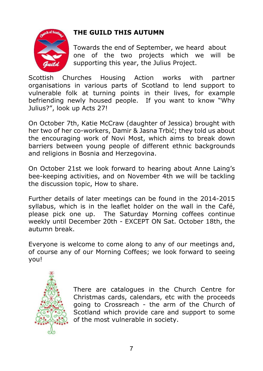

#### **THE GUILD THIS AUTUMN**

Towards the end of September, we heard about one of the two projects which we will be supporting this year, the Julius Project.

Scottish Churches Housing Action works with partner organisations in various parts of Scotland to lend support to vulnerable folk at turning points in their lives, for example befriending newly housed people. If you want to know "Why Julius?", look up Acts 27!

On October 7th, Katie McCraw (daughter of Jessica) brought with her two of her co-workers, Damir & Jasna Trbić; they told us about the encouraging work of Novi Most, which aims to break down barriers between young people of different ethnic backgrounds and religions in Bosnia and Herzegovina.

On October 21st we look forward to hearing about Anne Laing's bee-keeping activities, and on November 4th we will be tackling the discussion topic, How to share.

Further details of later meetings can be found in the 2014-2015 syllabus, which is in the leaflet holder on the wall in the Café, please pick one up. The Saturday Morning coffees continue weekly until December 20th - EXCEPT ON Sat. October 18th, the autumn break.

Everyone is welcome to come along to any of our meetings and, of course any of our Morning Coffees; we look forward to seeing you!



There are catalogues in the Church Centre for Christmas cards, calendars, etc with the proceeds going to Crossreach - the arm of the Church of Scotland which provide care and support to some of the most vulnerable in society.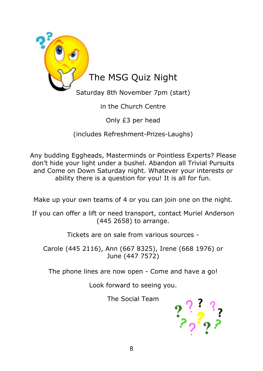

### in the Church Centre

Only £3 per head

(includes Refreshment-Prizes-Laughs)

Any budding Eggheads, Masterminds or Pointless Experts? Please don't hide your light under a bushel. Abandon all Trivial Pursuits and Come on Down Saturday night. Whatever your interests or ability there is a question for you! It is all for fun.

Make up your own teams of 4 or you can join one on the night.

If you can offer a lift or need transport, contact Muriel Anderson (445 2658) to arrange.

Tickets are on sale from various sources -

Carole (445 2116), Ann (667 8325), Irene (668 1976) or June (447 7572)

The phone lines are now open - Come and have a go!

Look forward to seeing you.

The Social Team

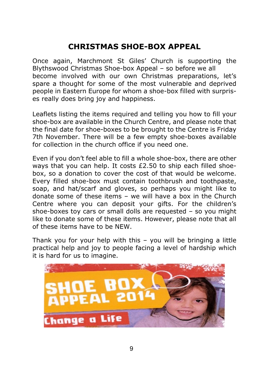# **CHRISTMAS SHOE-BOX APPEAL**

Once again, Marchmont St Giles' Church is supporting the Blythswood Christmas Shoe-box Appeal – so before we all become involved with our own Christmas preparations, let's spare a thought for some of the most vulnerable and deprived people in Eastern Europe for whom a shoe-box filled with surprises really does bring joy and happiness.

Leaflets listing the items required and telling you how to fill your shoe-box are available in the Church Centre, and please note that the final date for shoe-boxes to be brought to the Centre is Friday 7th November. There will be a few empty shoe-boxes available for collection in the church office if you need one.

Even if you don't feel able to fill a whole shoe-box, there are other ways that you can help. It costs £2.50 to ship each filled shoebox, so a donation to cover the cost of that would be welcome. Every filled shoe-box must contain toothbrush and toothpaste, soap, and hat/scarf and gloves, so perhaps you might like to donate some of these items – we will have a box in the Church Centre where you can deposit your gifts. For the children's shoe-boxes toy cars or small dolls are requested – so you might like to donate some of these items. However, please note that all of these items have to be NEW.

Thank you for your help with this – you will be bringing a little practical help and joy to people facing a level of hardship which it is hard for us to imagine.

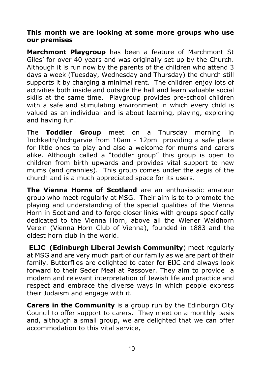#### **This month we are looking at some more groups who use our premises**

**Marchmont Playgroup** has been a feature of Marchmont St Giles' for over 40 years and was originally set up by the Church. Although it is run now by the parents of the children who attend 3 days a week (Tuesday, Wednesday and Thursday) the church still supports it by charging a minimal rent. The children enjoy lots of activities both inside and outside the hall and learn valuable social skills at the same time. Playgroup provides pre-school children with a safe and stimulating environment in which every child is valued as an individual and is about learning, playing, exploring and having fun.

The **Toddler Group** meet on a Thursday morning in Inchkeith/Inchgarvie from 10am - 12pm providing a safe place for little ones to play and also a welcome for mums and carers alike. Although called a "toddler group" this group is open to children from birth upwards and provides vital support to new mums (and grannies). This group comes under the aegis of the church and is a much appreciated space for its users.

**The Vienna Horns of Scotland** are an enthusiastic amateur group who meet regularly at MSG. Their aim is to to promote the playing and understanding of the special qualities of the Vienna Horn in Scotland and to forge closer links with groups specifically dedicated to the Vienna Horn, above all the Wiener Waldhorn Verein (Vienna Horn Club of Vienna), founded in 1883 and the oldest horn club in the world.

 **ELJC (Edinburgh Liberal Jewish Community**) meet regularly at MSG and are very much part of our family as we are part of their family. Butterflies are delighted to cater for ElJC and always look forward to their Seder Meal at Passover. They aim to provide a modern and relevant interpretation of Jewish life and practice and respect and embrace the diverse ways in which people express their Judaism and engage with it.

**Carers in the Community** is a group run by the Edinburgh City Council to offer support to carers. They meet on a monthly basis and, although a small group, we are delighted that we can offer accommodation to this vital service,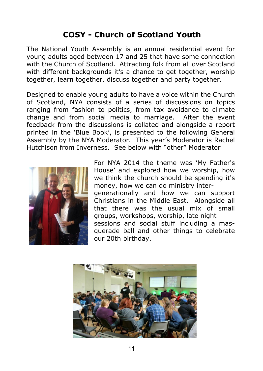# **COSY - Church of Scotland Youth**

The National Youth Assembly is an annual residential event for young adults aged between 17 and 25 that have some connection with the Church of Scotland. Attracting folk from all over Scotland with different backgrounds it's a chance to get together, worship together, learn together, discuss together and party together.

Designed to enable young adults to have a voice within the Church of Scotland, NYA consists of a series of discussions on topics ranging from fashion to politics, from tax avoidance to climate change and from social media to marriage. After the event feedback from the discussions is collated and alongside a report printed in the 'Blue Book', is presented to the following General Assembly by the NYA Moderator. This year's Moderator is Rachel Hutchison from Inverness. See below with "other" Moderator



For NYA 2014 the theme was 'My Father's House' and explored how we worship, how we think the church should be spending it's money, how we can do ministry intergenerationally and how we can support Christians in the Middle East. Alongside all that there was the usual mix of small groups, workshops, worship, late night sessions and social stuff including a masquerade ball and other things to celebrate our 20th birthday.

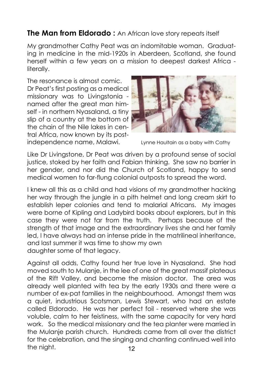# **The Man from Eldorado :** An African love story repeats itself

My grandmother Cathy Peat was an indomitable woman. Graduating in medicine in the mid-1920s in Aberdeen, Scotland, she found herself within a few years on a mission to deepest darkest Africa literally.

The resonance is almost comic. Dr Peat's first posting as a medical missionary was to Livingstonia named after the great man himself - in northern Nyasaland, a tiny slip of a country at the bottom of the chain of the Nile lakes in central Africa, now known by its postindependence name, Malawi. Lynne Haultain as a baby with Cathy



Like Dr Livingstone, Dr Peat was driven by a profound sense of social justice, stoked by her faith and Fabian thinking. She saw no barrier in her gender, and nor did the Church of Scotland, happy to send medical women to far-flung colonial outposts to spread the word.

I knew all this as a child and had visions of my grandmother hacking her way through the jungle in a pith helmet and long cream skirt to establish leper colonies and tend to malarial Africans. My images were borne of Kipling and Ladybird books about explorers, but in this case they were not far from the truth. Perhaps because of the strength of that image and the extraordinary lives she and her family led, I have always had an intense pride in the matrilineal inheritance, and last summer it was time to show my own daughter some of that legacy.

12 Against all odds, Cathy found her true love in Nyasaland. She had moved south to Mulanje, in the lee of one of the great massif plateaus of the Rift Valley, and become the mission doctor. The area was already well planted with tea by the early 1930s and there were a number of ex-pat families in the neighbourhood. Amongst them was a quiet, industrious Scotsman, Lewis Stewart, who had an estate called Eldorado. He was her perfect foil - reserved where she was voluble, calm to her feistiness, with the same capacity for very hard work. So the medical missionary and the tea planter were married in the Mulanje parish church. Hundreds came from all over the district for the celebration, and the singing and chanting continued well into the night.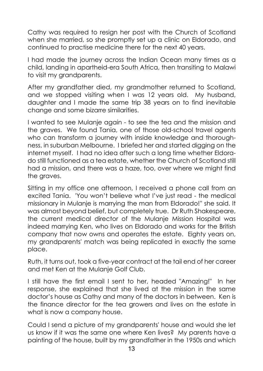Cathy was required to resign her post with the Church of Scotland when she married, so she promptly set up a clinic on Eldorado, and continued to practise medicine there for the next 40 years.

I had made the journey across the Indian Ocean many times as a child, landing in apartheid-era South Africa, then transiting to Malawi to visit my grandparents.

After my grandfather died, my grandmother returned to Scotland, and we stopped visiting when I was 12 years old. My husband, daughter and I made the same trip 38 years on to find inevitable change and some bizarre similarities.

I wanted to see Mulanje again - to see the tea and the mission and the graves. We found Tania, one of those old-school travel agents who can transform a journey with inside knowledge and thoroughness, in suburban Melbourne. I briefed her and started digging on the internet myself. I had no idea after such a long time whether Eldorado still functioned as a tea estate, whether the Church of Scotland still had a mission, and there was a haze, too, over where we might find the graves.

Sitting in my office one afternoon, I received a phone call from an excited Tania. 'You won't believe what I've just read - the medical missionary in Mulanje is marrying the man from Eldorado!'' she said. It was almost beyond belief, but completely true. Dr Ruth Shakespeare, the current medical director of the Mulanje Mission Hospital was indeed marrying Ken, who lives on Eldorado and works for the British company that now owns and operates the estate. Eighty years on, my grandparents' match was being replicated in exactly the same place.

Ruth, it turns out, took a five-year contract at the tail end of her career and met Ken at the Mulanje Golf Club.

I still have the first email I sent to her, headed "Amazing!" In her response, she explained that she lived at the mission in the same doctor's house as Cathy and many of the doctors in between. Ken is the finance director for the tea growers and lives on the estate in what is now a company house.

Could I send a picture of my grandparents' house and would she let us know if it was the same one where Ken lives? My parents have a painting of the house, built by my grandfather in the 1950s and which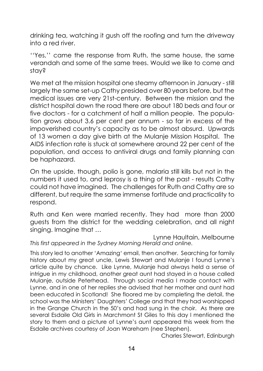drinking tea, watching it gush off the roofing and turn the driveway into a red river.

''Yes,'' came the response from Ruth, the same house, the same verandah and some of the same trees. Would we like to come and stay?

We met at the mission hospital one steamy afternoon in January - still largely the same set-up Cathy presided over 80 years before, but the medical issues are very 21st-century. Between the mission and the district hospital down the road there are about 180 beds and four or five doctors - for a catchment of half a million people. The population grows about 3.6 per cent per annum - so far in excess of the impoverished country's capacity as to be almost absurd. Upwards of 13 women a day give birth at the Mulanje Mission Hospital. The AIDS infection rate is stuck at somewhere around 22 per cent of the population, and access to antiviral drugs and family planning can be haphazard.

On the upside, though, polio is gone, malaria still kills but not in the numbers it used to, and leprosy is a thing of the past - results Cathy could not have imagined. The challenges for Ruth and Cathy are so different, but require the same immense fortitude and practicality to respond.

Ruth and Ken were married recently. They had more than 2000 guests from the district for the wedding celebration, and all night singing. Imagine that …

Lynne Haultain, Melbourne *This first appeared in the Sydney Morning Herald and online.*

This story led to another 'Amazing' email, then another. Searching for family history about my great uncle, Lewis Stewart and Mulanje I found Lynne's article quite by chance. Like Lynne, Mulanje had always held a sense of intrigue in my childhood, another great aunt had stayed in a house called Mulanje, outside Peterhead. Through social media I made contact with Lynne, and in one of her replies she advised that her mother and aunt had been educated in Scotland! She floored me by completing the detail, the school was the Ministers' Daughters' College and that they had worshipped in the Grange Church in the 50's and had sung in the choir. As there are several Esdaile Old Girls in Marchmont St Giles to this day I mentioned the story to them and a picture of Lynne's aunt appeared this week from the Esdaile archives courtesy of Joan Wareham (nee Stephen).

Charles Stewart, Edinburgh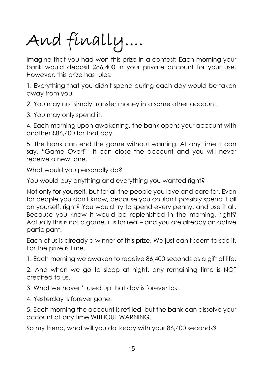And finally....

Imagine that you had won this prize in a contest: Each morning your bank would deposit £86,400 in your private account for your use. However, this prize has rules:

1. Everything that you didn't spend during each day would be taken away from you.

2. You may not simply transfer money into some other account.

3. You may only spend it.

4. Each morning upon awakening, the bank opens your account with another £86,400 for that day.

5. The bank can end the game without warning. At any time it can say, "Game Over!" It can close the account and you will never receive a new one.

What would you personally do?

You would buy anything and everything you wanted right?

Not only for yourself, but for all the people you love and care for. Even for people you don't know, because you couldn't possibly spend it all on yourself, right? You would try to spend every penny, and use it all. Because you knew it would be replenished in the morning, right? Actually this is not a game, it is for real – and you are already an active participant.

Each of us is already a winner of this prize. We just can't seem to see it. For the prize is time.

1. Each morning we awaken to receive 86,400 seconds as a gift of life.

2. And when we go to sleep at night, any remaining time is NOT credited to us.

3. What we haven't used up that day is forever lost.

4. Yesterday is forever gone.

5. Each morning the account is refilled, but the bank can dissolve your account at any time WITHOUT WARNING.

So my friend, what will you do today with your 86,400 seconds?